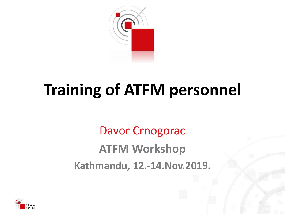

## **Training of ATFM personnel**

Davor Crnogorac **ATFM Workshop Kathmandu, 12.-14.Nov.2019.**

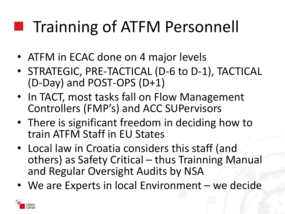## **The Trainning of ATFM Personnell**

- ATFM in ECAC done on 4 major levels
- STRATEGIC, PRE-TACTICAL (D-6 to D-1), TACTICAL (D-Day) and POST-OPS (D+1)
- In TACT, most tasks fall on Flow Management Controllers (FMP's) and ACC SUPervisors
- There is significant freedom in deciding how to train ATFM Staff in EU States
- Local law in Croatia considers this staff (and others) as Safety Critical – thus Trainning Manual and Regular Oversight Audits by NSA
- We are Experts in local Environment we decide

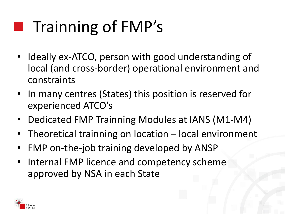# **Trainning of FMP's**

- Ideally ex-ATCO, person with good understanding of local (and cross-border) operational environment and constraints
- In many centres (States) this position is reserved for experienced ATCO's
- Dedicated FMP Trainning Modules at IANS (M1-M4)
- Theoretical trainning on location local environment
- FMP on-the-job training developed by ANSP
- Internal FMP licence and competency scheme approved by NSA in each State

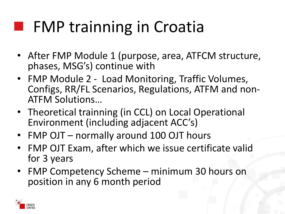### **FMP** trainning in Croatia

- After FMP Module 1 (purpose, area, ATFCM structure, phases, MSG's) continue with
- FMP Module 2 Load Monitoring, Traffic Volumes, Configs, RR/FL Scenarios, Regulations, ATFM and non-ATFM Solutions…
- Theoretical trainning (in CCL) on Local Operational Environment (including adjacent ACC's)
- FMP OJT normally around 100 OJT hours
- FMP OJT Exam, after which we issue certificate valid for 3 years
- FMP Competency Scheme minimum 30 hours on position in any 6 month period

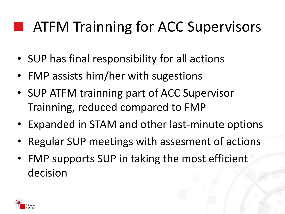#### **EXATFM Trainning for ACC Supervisors**

- SUP has final responsibility for all actions
- FMP assists him/her with sugestions
- SUP ATFM trainning part of ACC Supervisor Trainning, reduced compared to FMP
- Expanded in STAM and other last-minute options
- Regular SUP meetings with assesment of actions
- FMP supports SUP in taking the most efficient decision

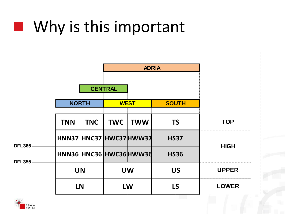#### **Now Why is this important**



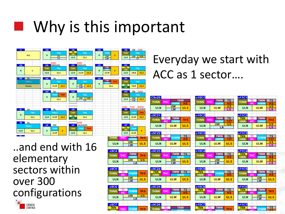### **Notailly is this important**

**THNN ULN**  $c9C4$ **THNN ULN**  $c9C5$ **THNN ULN**  $c9C6$ **THNN ULN**  UL\$



..and end with 16 elementary sectors within over 300 configurations

> CROATIA **CONTROL**

#### Everyday we start with ACC as 1 sector….

| <b>UW</b><br>LN<br><b>ULS</b>                                    | C9c20                                                                                | c10C1                                                                                      | c11C1                                                                                      |
|------------------------------------------------------------------|--------------------------------------------------------------------------------------|--------------------------------------------------------------------------------------------|--------------------------------------------------------------------------------------------|
| LW                                                               | <b>TAW</b><br><b>THNN</b><br>THC<br>H <sub>S</sub><br><b>HWW</b>                     | TS<br><b>TWW</b><br><b>THNN</b><br>тнс<br>H <sub>S</sub><br><b>HWW</b>                     | <b>TS</b><br><b>TWW</b><br>тc<br><b>THNN</b><br>нc<br><b>HWW</b><br>H <sub>S</sub>         |
| ł3<br><b>7US1</b><br><b>8UNS1</b><br><b>DN/DA/DL/DW/D</b><br>ŜÐ  | <b>UW</b><br><b>ULS</b><br><b>ULN</b><br>LW                                          | <b>US</b><br><b>ULW</b><br><b>ULN</b><br>LS                                                | <b>US</b><br><b>ULW</b><br><b>ULN</b><br><b>LS</b>                                         |
| <b>THW</b><br>HN<br><b>THS</b><br>LN<br><b>ULW</b><br><b>ULS</b> | c9C21<br><b>TWW</b><br>тc                                                            | c10C2<br><b>TS</b><br><b>TWW</b>                                                           | c11C2<br><b>TNN</b><br><b>TWW</b><br>тс                                                    |
|                                                                  | <b>THNN</b><br><b>THS</b><br>нc<br><b>HWW</b>                                        | <b>THC</b><br><b>THNN</b><br><b>HWW</b><br>137                                             | <b>THS</b><br>HC<br><b>HWW</b><br><b>HNN</b>                                               |
| \$Ť<br><b>DW</b><br>π<br><b>THW</b><br>IN                        | <b>ULW</b><br><b>ULN</b><br><b>ULS</b>                                               | <b>UW</b><br><b>US</b><br><b>ULN</b><br>LA                                                 | <b>US</b><br><b>ULN</b><br><b>ULW</b><br>$\overline{\text{LS}}$                            |
| s<br>LN<br><b>ULW</b>                                            | c9C22                                                                                | c10C3                                                                                      | c11C3                                                                                      |
| <b>THS</b><br><b>HWW</b>                                         | ΤS<br>тс<br><b>THWW</b><br><b>THNN</b><br>нc<br>H <sub>S</sub>                       | <b>TS</b><br><b>TWW</b><br>тc<br><b>THNN</b><br>нc<br><b>HWW</b><br>137                    | <b>TS</b><br><b>TNN</b><br>тc<br><b>THWM</b><br>нc<br><b>HNN</b><br>137                    |
| <b>UW</b><br><b>ULS</b><br>LW                                    | <b>ULN</b><br><b>ULW</b><br><b>ULS</b>                                               | <b>ULS</b><br><b>ULN</b><br><b>ULW</b>                                                     | US<br><b>ULN</b><br><b>ULW</b><br>LS.                                                      |
|                                                                  | c9C23                                                                                | c10C4                                                                                      | c11C4                                                                                      |
| <b>TWW</b><br><b>THS</b><br><b>HWW</b>                           | TS.<br><b>TWW</b><br>THC<br><b>THNN</b><br><b>HAW</b>                                | <b>TS</b><br><b>TWW</b><br>тнс<br><b>THNN</b><br>HS<br><b>HWW</b>                          | <b>TS</b><br><b>TNN</b><br><b>TWW</b><br>тнс<br>H <sub>S</sub><br><b>HWW</b><br><b>HNN</b> |
| <b>UW</b><br><b>US</b><br>LA                                     | <b>UW</b><br><b>ULN</b><br><b>ULS</b><br>LW                                          | <b>UW</b><br><b>ULN</b><br><b>ULS</b><br>LW                                                | $\overline{u}$ s<br><b>ULN</b><br><b>ULW</b><br><b>LS</b>                                  |
|                                                                  | c9C24                                                                                | c10C5                                                                                      | c11C5                                                                                      |
| <b>THWW</b><br>THS                                               | <b>TS</b><br><b>TWW</b><br><b>TNN</b><br>THC<br><b>HNN</b><br><b>HAW</b>             | TS<br><b>TNN</b><br>TC<br><b>THWW</b><br>H <sub>S</sub><br><b>HNN</b><br>HC                | <b>TS</b><br><b>TWW</b><br><b>THNN</b><br><b>HWW</b><br>нc<br>H <sub>S</sub>               |
| <b>UW</b><br><b>ULS</b><br>LW                                    | <b>ULW</b><br><b>ULS</b><br><b>ULN</b>                                               | <b>ULS</b><br><b>ULN</b><br><b>ULW</b>                                                     | <b>UW</b><br><b>ULS</b><br><b>ULN</b><br>LW                                                |
|                                                                  | c9C25                                                                                | c10C6                                                                                      | c11C6                                                                                      |
| <b>THWW</b><br>TH S                                              | <b>TS</b><br><b>TWW</b><br><b>THC</b><br><b>THNN</b><br><b>HWW</b><br>H <sub>S</sub> | <b>TS</b><br><b>TNN</b><br><b>TWW</b><br>тнс<br><b>HNN</b><br><b>HWW</b><br>H <sub>S</sub> | <b>TNN</b><br>тс<br><b>TWW</b><br><b>THS</b><br><b>HNN</b><br>HC<br><b>HWW</b>             |
| <b>UW</b><br><b>US</b><br>LA                                     | <b>ULS</b><br><b>ULN</b><br><b>ULW</b>                                               | <b>ULN</b><br><b>ULW</b><br><b>ULS</b>                                                     | <b>UW</b><br><b>ULS</b><br><b>ULN</b><br>LW                                                |
|                                                                  | c9C26                                                                                | c10C7                                                                                      | c11C7                                                                                      |
| <b>THWM</b><br><b>THS</b>                                        | <b>TAW</b><br>тс<br><b>THNN</b>                                                      | <b>TWW</b><br><b>TNN</b><br>тс<br><b>TH<sub>S</sub></b>                                    | <b>TS</b><br><b>TNN</b><br>тс<br><b>THWM</b>                                               |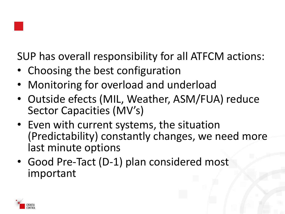

SUP has overall responsibility for all ATFCM actions:

- Choosing the best configuration
- Monitoring for overload and underload
- Outside efects (MIL, Weather, ASM/FUA) reduce Sector Capacities (MV's)
- Even with current systems, the situation (Predictability) constantly changes, we need more last minute options
- Good Pre-Tact (D-1) plan considered most important

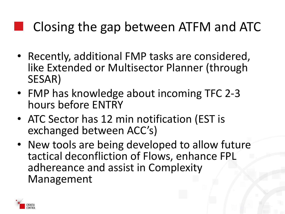#### Closing the gap between ATFM and ATC

- Recently, additional FMP tasks are considered, like Extended or Multisector Planner (through SESAR)
- FMP has knowledge about incoming TFC 2-3 hours before ENTRY
- ATC Sector has 12 min notification (EST is exchanged between ACC's)
- New tools are being developed to allow future tactical deconfliction of Flows, enhance FPL adhereance and assist in Complexity Management